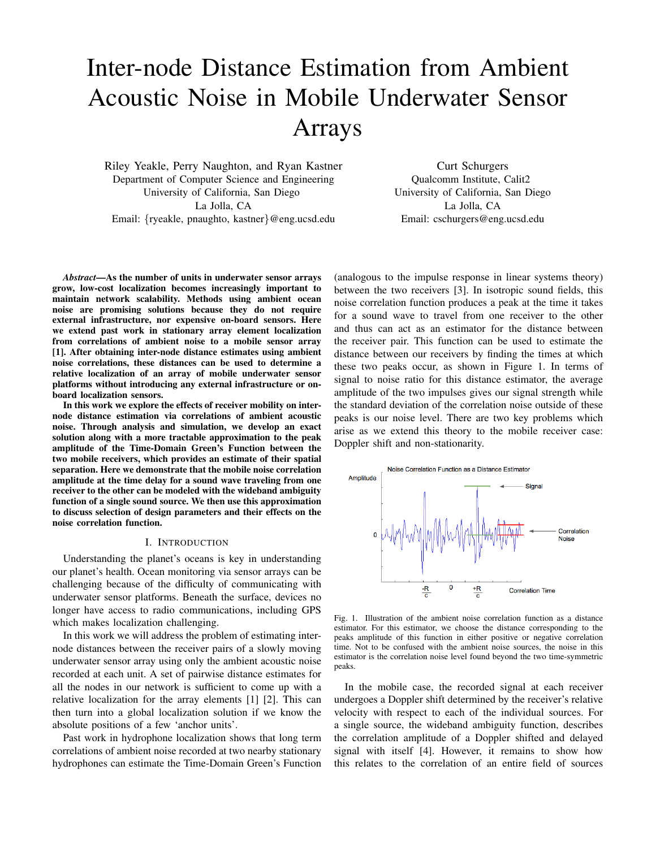# Inter-node Distance Estimation from Ambient Acoustic Noise in Mobile Underwater Sensor Arrays

Riley Yeakle, Perry Naughton, and Ryan Kastner Department of Computer Science and Engineering University of California, San Diego La Jolla, CA Email: {ryeakle, pnaughto, kastner}@eng.ucsd.edu

Curt Schurgers Qualcomm Institute, Calit2 University of California, San Diego La Jolla, CA Email: cschurgers@eng.ucsd.edu

*Abstract*—As the number of units in underwater sensor arrays grow, low-cost localization becomes increasingly important to maintain network scalability. Methods using ambient ocean noise are promising solutions because they do not require external infrastructure, nor expensive on-board sensors. Here we extend past work in stationary array element localization from correlations of ambient noise to a mobile sensor array [1]. After obtaining inter-node distance estimates using ambient noise correlations, these distances can be used to determine a relative localization of an array of mobile underwater sensor platforms without introducing any external infrastructure or onboard localization sensors.

In this work we explore the effects of receiver mobility on internode distance estimation via correlations of ambient acoustic noise. Through analysis and simulation, we develop an exact solution along with a more tractable approximation to the peak amplitude of the Time-Domain Green's Function between the two mobile receivers, which provides an estimate of their spatial separation. Here we demonstrate that the mobile noise correlation amplitude at the time delay for a sound wave traveling from one receiver to the other can be modeled with the wideband ambiguity function of a single sound source. We then use this approximation to discuss selection of design parameters and their effects on the noise correlation function.

# I. INTRODUCTION

Understanding the planet's oceans is key in understanding our planet's health. Ocean monitoring via sensor arrays can be challenging because of the difficulty of communicating with underwater sensor platforms. Beneath the surface, devices no longer have access to radio communications, including GPS which makes localization challenging.

In this work we will address the problem of estimating internode distances between the receiver pairs of a slowly moving underwater sensor array using only the ambient acoustic noise recorded at each unit. A set of pairwise distance estimates for all the nodes in our network is sufficient to come up with a relative localization for the array elements [1] [2]. This can then turn into a global localization solution if we know the absolute positions of a few 'anchor units'.

Past work in hydrophone localization shows that long term correlations of ambient noise recorded at two nearby stationary hydrophones can estimate the Time-Domain Green's Function (analogous to the impulse response in linear systems theory) between the two receivers [3]. In isotropic sound fields, this noise correlation function produces a peak at the time it takes for a sound wave to travel from one receiver to the other and thus can act as an estimator for the distance between the receiver pair. This function can be used to estimate the distance between our receivers by finding the times at which these two peaks occur, as shown in Figure 1. In terms of signal to noise ratio for this distance estimator, the average amplitude of the two impulses gives our signal strength while the standard deviation of the correlation noise outside of these peaks is our noise level. There are two key problems which arise as we extend this theory to the mobile receiver case: Doppler shift and non-stationarity.



Fig. 1. Illustration of the ambient noise correlation function as a distance estimator. For this estimator, we choose the distance corresponding to the peaks amplitude of this function in either positive or negative correlation time. Not to be confused with the ambient noise sources, the noise in this estimator is the correlation noise level found beyond the two time-symmetric peaks.

In the mobile case, the recorded signal at each receiver undergoes a Doppler shift determined by the receiver's relative velocity with respect to each of the individual sources. For a single source, the wideband ambiguity function, describes the correlation amplitude of a Doppler shifted and delayed signal with itself [4]. However, it remains to show how this relates to the correlation of an entire field of sources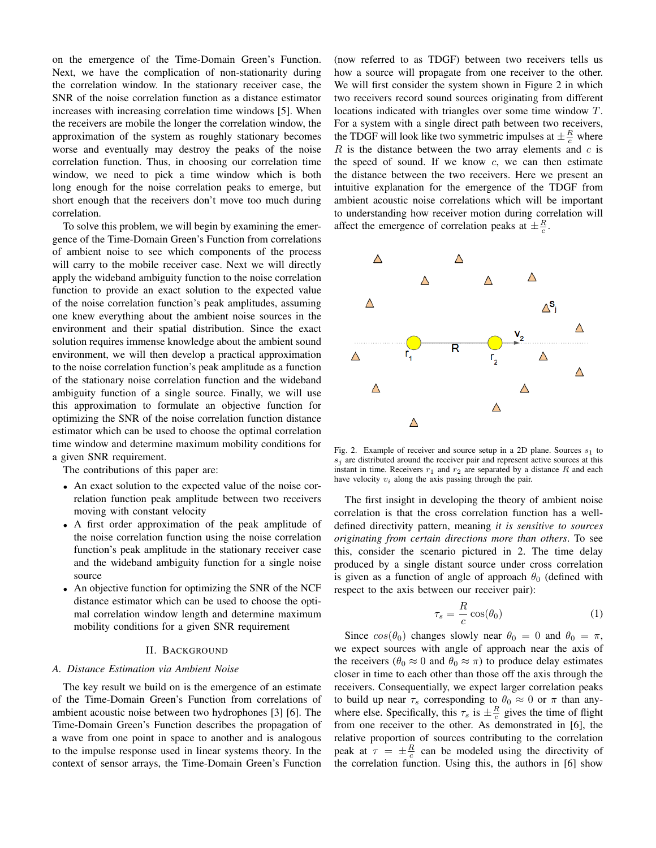on the emergence of the Time-Domain Green's Function. Next, we have the complication of non-stationarity during the correlation window. In the stationary receiver case, the SNR of the noise correlation function as a distance estimator increases with increasing correlation time windows [5]. When the receivers are mobile the longer the correlation window, the approximation of the system as roughly stationary becomes worse and eventually may destroy the peaks of the noise correlation function. Thus, in choosing our correlation time window, we need to pick a time window which is both long enough for the noise correlation peaks to emerge, but short enough that the receivers don't move too much during correlation.

To solve this problem, we will begin by examining the emergence of the Time-Domain Green's Function from correlations of ambient noise to see which components of the process will carry to the mobile receiver case. Next we will directly apply the wideband ambiguity function to the noise correlation function to provide an exact solution to the expected value of the noise correlation function's peak amplitudes, assuming one knew everything about the ambient noise sources in the environment and their spatial distribution. Since the exact solution requires immense knowledge about the ambient sound environment, we will then develop a practical approximation to the noise correlation function's peak amplitude as a function of the stationary noise correlation function and the wideband ambiguity function of a single source. Finally, we will use this approximation to formulate an objective function for optimizing the SNR of the noise correlation function distance estimator which can be used to choose the optimal correlation time window and determine maximum mobility conditions for a given SNR requirement.

The contributions of this paper are:

- An exact solution to the expected value of the noise correlation function peak amplitude between two receivers moving with constant velocity
- A first order approximation of the peak amplitude of the noise correlation function using the noise correlation function's peak amplitude in the stationary receiver case and the wideband ambiguity function for a single noise source
- An objective function for optimizing the SNR of the NCF distance estimator which can be used to choose the optimal correlation window length and determine maximum mobility conditions for a given SNR requirement

## II. BACKGROUND

# *A. Distance Estimation via Ambient Noise*

The key result we build on is the emergence of an estimate of the Time-Domain Green's Function from correlations of ambient acoustic noise between two hydrophones [3] [6]. The Time-Domain Green's Function describes the propagation of a wave from one point in space to another and is analogous to the impulse response used in linear systems theory. In the context of sensor arrays, the Time-Domain Green's Function

(now referred to as TDGF) between two receivers tells us how a source will propagate from one receiver to the other. We will first consider the system shown in Figure 2 in which two receivers record sound sources originating from different locations indicated with triangles over some time window T. For a system with a single direct path between two receivers, the TDGF will look like two symmetric impulses at  $\pm \frac{R}{c}$  where  $R$  is the distance between the two array elements and  $c$  is the speed of sound. If we know  $c$ , we can then estimate the distance between the two receivers. Here we present an intuitive explanation for the emergence of the TDGF from ambient acoustic noise correlations which will be important to understanding how receiver motion during correlation will affect the emergence of correlation peaks at  $\pm \frac{R}{c}$ .



Fig. 2. Example of receiver and source setup in a 2D plane. Sources  $s_1$  to  $s_j$  are distributed around the receiver pair and represent active sources at this instant in time. Receivers  $r_1$  and  $r_2$  are separated by a distance R and each have velocity  $v_i$  along the axis passing through the pair.

The first insight in developing the theory of ambient noise correlation is that the cross correlation function has a welldefined directivity pattern, meaning *it is sensitive to sources originating from certain directions more than others*. To see this, consider the scenario pictured in 2. The time delay produced by a single distant source under cross correlation is given as a function of angle of approach  $\theta_0$  (defined with respect to the axis between our receiver pair):

$$
\tau_s = \frac{R}{c} \cos(\theta_0) \tag{1}
$$

Since  $cos(\theta_0)$  changes slowly near  $\theta_0 = 0$  and  $\theta_0 = \pi$ , we expect sources with angle of approach near the axis of the receivers ( $\theta_0 \approx 0$  and  $\theta_0 \approx \pi$ ) to produce delay estimates closer in time to each other than those off the axis through the receivers. Consequentially, we expect larger correlation peaks to build up near  $\tau_s$  corresponding to  $\theta_0 \approx 0$  or  $\pi$  than anywhere else. Specifically, this  $\tau_s$  is  $\pm \frac{R}{c}$  gives the time of flight from one receiver to the other. As demonstrated in [6], the relative proportion of sources contributing to the correlation peak at  $\tau = \pm \frac{R}{c}$  can be modeled using the directivity of the correlation function. Using this, the authors in [6] show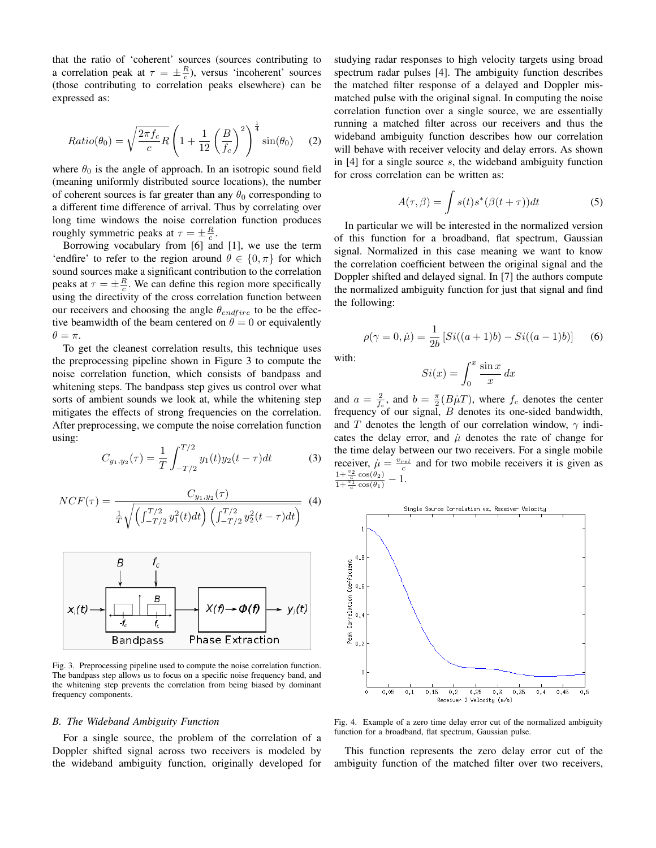that the ratio of 'coherent' sources (sources contributing to a correlation peak at  $\tau = \pm \frac{R}{c}$ ), versus 'incoherent' sources (those contributing to correlation peaks elsewhere) can be expressed as:

$$
Ratio(\theta_0) = \sqrt{\frac{2\pi f_c}{c} R} \left( 1 + \frac{1}{12} \left( \frac{B}{f_c} \right)^2 \right)^{\frac{1}{4}} \sin(\theta_0) \quad (2)
$$

where  $\theta_0$  is the angle of approach. In an isotropic sound field (meaning uniformly distributed source locations), the number of coherent sources is far greater than any  $\theta_0$  corresponding to a different time difference of arrival. Thus by correlating over long time windows the noise correlation function produces roughly symmetric peaks at  $\tau = \pm \frac{R}{c}$ .

Borrowing vocabulary from [6] and [1], we use the term 'endfire' to refer to the region around  $\theta \in \{0, \pi\}$  for which sound sources make a significant contribution to the correlation peaks at  $\tau = \pm \frac{R}{c}$ . We can define this region more specifically using the directivity of the cross correlation function between our receivers and choosing the angle  $\theta_{endfire}$  to be the effective beamwidth of the beam centered on  $\theta = 0$  or equivalently  $\theta = \pi$ .

To get the cleanest correlation results, this technique uses the preprocessing pipeline shown in Figure 3 to compute the noise correlation function, which consists of bandpass and whitening steps. The bandpass step gives us control over what sorts of ambient sounds we look at, while the whitening step mitigates the effects of strong frequencies on the correlation. After preprocessing, we compute the noise correlation function using:

$$
C_{y_1, y_2}(\tau) = \frac{1}{T} \int_{-T/2}^{T/2} y_1(t) y_2(t - \tau) dt
$$
 (3)

$$
NCF(\tau) = \frac{C_{y_1, y_2}(\tau)}{\frac{1}{T} \sqrt{\left(\int_{-T/2}^{T/2} y_1^2(t)dt\right) \left(\int_{-T/2}^{T/2} y_2^2(t-\tau)dt\right)}}
$$
(4)



Fig. 3. Preprocessing pipeline used to compute the noise correlation function. The bandpass step allows us to focus on a specific noise frequency band, and the whitening step prevents the correlation from being biased by dominant frequency components.

#### *B. The Wideband Ambiguity Function*

For a single source, the problem of the correlation of a Doppler shifted signal across two receivers is modeled by the wideband ambiguity function, originally developed for studying radar responses to high velocity targets using broad spectrum radar pulses [4]. The ambiguity function describes the matched filter response of a delayed and Doppler mismatched pulse with the original signal. In computing the noise correlation function over a single source, we are essentially running a matched filter across our receivers and thus the wideband ambiguity function describes how our correlation will behave with receiver velocity and delay errors. As shown in  $[4]$  for a single source s, the wideband ambiguity function for cross correlation can be written as:

$$
A(\tau,\beta) = \int s(t)s^*(\beta(t+\tau))dt
$$
 (5)

In particular we will be interested in the normalized version of this function for a broadband, flat spectrum, Gaussian signal. Normalized in this case meaning we want to know the correlation coefficient between the original signal and the Doppler shifted and delayed signal. In [7] the authors compute the normalized ambiguity function for just that signal and find the following:

$$
\rho(\gamma = 0, \dot{\mu}) = \frac{1}{2b} \left[ Si((a+1)b) - Si((a-1)b) \right] \tag{6}
$$

with:

$$
Si(x) = \int_0^x \frac{\sin x}{x} dx
$$

and  $a = \frac{2}{f_c}$ , and  $b = \frac{\pi}{2}(B\mu T)$ , where  $f_c$  denotes the center frequency of our signal,  $B$  denotes its one-sided bandwidth, and T denotes the length of our correlation window,  $\gamma$  indicates the delay error, and  $\mu$  denotes the rate of change for the time delay between our two receivers. For a single mobile receiver,  $\mu = \frac{v_{rel}}{c}$  and for two mobile receivers it is given as  $\frac{1+\frac{v_2}{c}\cos(\theta_2)}{1+\frac{v_1}{c}\cos(\theta_1)}$ − 1.



Fig. 4. Example of a zero time delay error cut of the normalized ambiguity function for a broadband, flat spectrum, Gaussian pulse.

This function represents the zero delay error cut of the ambiguity function of the matched filter over two receivers,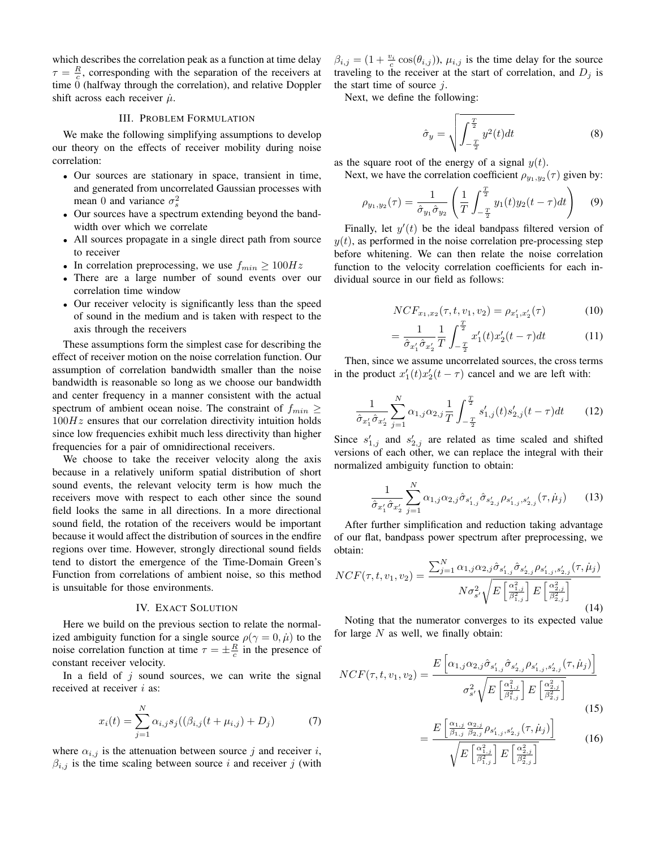which describes the correlation peak as a function at time delay  $\tau = \frac{R}{c}$ , corresponding with the separation of the receivers at time  $\overline{0}$  (halfway through the correlation), and relative Doppler shift across each receiver  $\mu$ .

# III. PROBLEM FORMULATION

We make the following simplifying assumptions to develop our theory on the effects of receiver mobility during noise correlation:

- Our sources are stationary in space, transient in time, and generated from uncorrelated Gaussian processes with mean 0 and variance  $\sigma_s^2$
- Our sources have a spectrum extending beyond the bandwidth over which we correlate
- All sources propagate in a single direct path from source to receiver
- In correlation preprocessing, we use  $f_{min} \ge 100Hz$
- There are a large number of sound events over our correlation time window
- Our receiver velocity is significantly less than the speed of sound in the medium and is taken with respect to the axis through the receivers

These assumptions form the simplest case for describing the effect of receiver motion on the noise correlation function. Our assumption of correlation bandwidth smaller than the noise bandwidth is reasonable so long as we choose our bandwidth and center frequency in a manner consistent with the actual spectrum of ambient ocean noise. The constraint of  $f_{min} \geq$  $100Hz$  ensures that our correlation directivity intuition holds since low frequencies exhibit much less directivity than higher frequencies for a pair of omnidirectional receivers.

We choose to take the receiver velocity along the axis because in a relatively uniform spatial distribution of short sound events, the relevant velocity term is how much the receivers move with respect to each other since the sound field looks the same in all directions. In a more directional sound field, the rotation of the receivers would be important because it would affect the distribution of sources in the endfire regions over time. However, strongly directional sound fields tend to distort the emergence of the Time-Domain Green's Function from correlations of ambient noise, so this method is unsuitable for those environments.

# IV. EXACT SOLUTION

Here we build on the previous section to relate the normalized ambiguity function for a single source  $\rho(\gamma = 0, \mu)$  to the noise correlation function at time  $\tau = \pm \frac{R}{c}$  in the presence of constant receiver velocity.

In a field of  $j$  sound sources, we can write the signal received at receiver *i* as:

$$
x_i(t) = \sum_{j=1}^{N} \alpha_{i,j} s_j ((\beta_{i,j}(t + \mu_{i,j}) + D_j)
$$
 (7)

where  $\alpha_{i,j}$  is the attenuation between source j and receiver i,  $\beta_{i,j}$  is the time scaling between source i and receiver j (with

 $\beta_{i,j} = (1 + \frac{v_i}{c} \cos(\theta_{i,j}))$ ,  $\mu_{i,j}$  is the time delay for the source traveling to the receiver at the start of correlation, and  $D_j$  is the start time of source  $i$ .

Next, we define the following:

$$
\hat{\sigma}_y = \sqrt{\int_{-\frac{T}{2}}^{\frac{T}{2}} y^2(t)dt} \tag{8}
$$

as the square root of the energy of a signal  $y(t)$ .

Next, we have the correlation coefficient  $\rho_{y_1,y_2}(\tau)$  given by:

$$
\rho_{y_1, y_2}(\tau) = \frac{1}{\hat{\sigma}_{y_1} \hat{\sigma}_{y_2}} \left( \frac{1}{T} \int_{-\frac{T}{2}}^{\frac{T}{2}} y_1(t) y_2(t - \tau) dt \right)
$$
(9)

Finally, let  $y'(t)$  be the ideal bandpass filtered version of  $y(t)$ , as performed in the noise correlation pre-processing step before whitening. We can then relate the noise correlation function to the velocity correlation coefficients for each individual source in our field as follows:

$$
NCF_{x_1, x_2}(\tau, t, v_1, v_2) = \rho_{x_1', x_2'}(\tau) \tag{10}
$$

$$
=\frac{1}{\hat{\sigma}_{x'_1}\hat{\sigma}_{x'_2}}\frac{1}{T}\int_{-\frac{T}{2}}^{\frac{T}{2}}x'_1(t)x'_2(t-\tau)dt\tag{11}
$$

Then, since we assume uncorrelated sources, the cross terms in the product  $x_1'(t)x_2'(t-\tau)$  cancel and we are left with:

$$
\frac{1}{\hat{\sigma}_{x'_1} \hat{\sigma}_{x'_2}} \sum_{j=1}^N \alpha_{1,j} \alpha_{2,j} \frac{1}{T} \int_{-\frac{T}{2}}^{\frac{T}{2}} s'_{1,j}(t) s'_{2,j}(t-\tau) dt \qquad (12)
$$

Since  $s'_{1,j}$  and  $s'_{2,j}$  are related as time scaled and shifted versions of each other, we can replace the integral with their normalized ambiguity function to obtain:

$$
\frac{1}{\hat{\sigma}_{x'_1} \hat{\sigma}_{x'_2}} \sum_{j=1}^N \alpha_{1,j} \alpha_{2,j} \hat{\sigma}_{s'_{1,j}} \hat{\sigma}_{s'_{2,j}} \rho_{s'_{1,j}, s'_{2,j}}(\tau, \mu_j) \qquad (13)
$$

After further simplification and reduction taking advantage of our flat, bandpass power spectrum after preprocessing, we obtain:

$$
NCF(\tau, t, v_1, v_2) = \frac{\sum_{j=1}^{N} \alpha_{1,j} \alpha_{2,j} \hat{\sigma}_{s'_{1,j}} \hat{\sigma}_{s'_{2,j}} \rho_{s'_{1,j}, s'_{2,j}}(\tau, \mu_j)}{N \sigma_{s'}^2 \sqrt{E\left[\frac{\alpha_{1,j}^2}{\beta_{1,j}^2}\right] E\left[\frac{\alpha_{2,j}^2}{\beta_{2,j}^2}\right]}}
$$
(14)

Noting that the numerator converges to its expected value for large  $N$  as well, we finally obtain:

$$
NCF(\tau, t, v_1, v_2) = \frac{E\left[\alpha_{1,j}\alpha_{2,j}\hat{\sigma}_{s'_{1,j}}\hat{\sigma}_{s'_{2,j}}\rho_{s'_{1,j}, s'_{2,j}}(\tau, \mu_j)\right]}{\sigma_{s'}^2 \sqrt{E\left[\frac{\alpha_{1,j}^2}{\beta_{1,j}^2}\right]E\left[\frac{\alpha_{2,j}^2}{\beta_{2,j}^2}\right]}}
$$
(15)

$$
= \frac{E\left[\frac{\alpha_{1,j}}{\beta_{1,j}} \frac{\alpha_{2,j}}{\beta_{2,j}} \rho_{s'_{1,j},s'_{2,j}}(\tau,\dot{\mu}_j)\right]}{\sqrt{E\left[\frac{\alpha_{1,j}^2}{\beta_{1,j}^2}\right]E\left[\frac{\alpha_{2,j}^2}{\beta_{2,j}^2}\right]}}
$$
(16)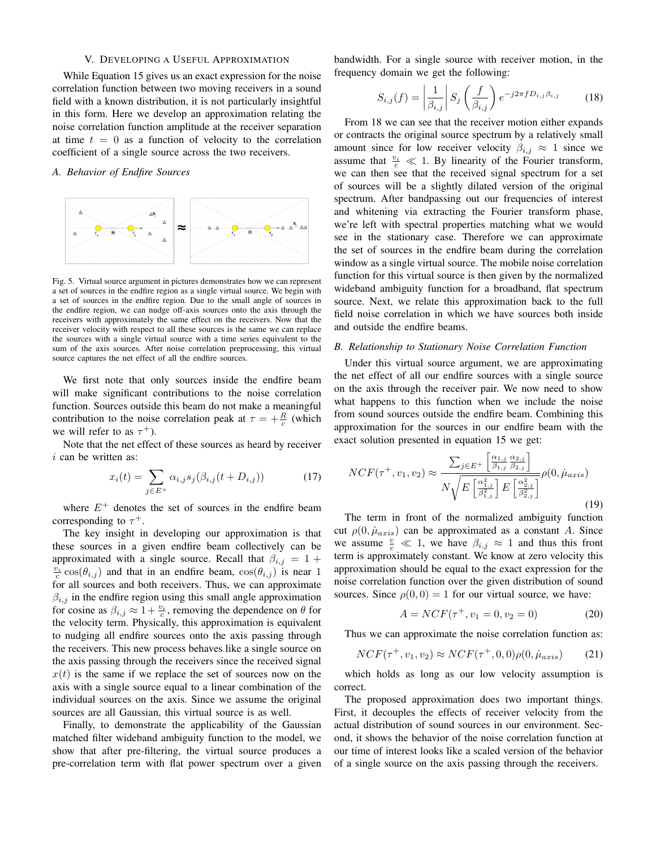## V. DEVELOPING A USEFUL APPROXIMATION

While Equation 15 gives us an exact expression for the noise correlation function between two moving receivers in a sound field with a known distribution, it is not particularly insightful in this form. Here we develop an approximation relating the noise correlation function amplitude at the receiver separation at time  $t = 0$  as a function of velocity to the correlation coefficient of a single source across the two receivers.

### *A. Behavior of Endfire Sources*



Fig. 5. Virtual source argument in pictures demonstrates how we can represent a set of sources in the endfire region as a single virtual source. We begin with a set of sources in the endfire region. Due to the small angle of sources in the endfire region, we can nudge off-axis sources onto the axis through the receivers with approximately the same effect on the receivers. Now that the receiver velocity with respect to all these sources is the same we can replace the sources with a single virtual source with a time series equivalent to the sum of the axis sources. After noise correlation preprocessing, this virtual source captures the net effect of all the endfire sources.

We first note that only sources inside the endfire beam will make significant contributions to the noise correlation function. Sources outside this beam do not make a meaningful contribution to the noise correlation peak at  $\tau = +\frac{R}{c}$  (which we will refer to as  $\tau^+$ ).

Note that the net effect of these sources as heard by receiver  $i$  can be written as:

$$
x_i(t) = \sum_{j \in E^+} \alpha_{i,j} s_j(\beta_{i,j}(t + D_{i,j}))
$$
 (17)

where  $E^+$  denotes the set of sources in the endfire beam corresponding to  $\tau^+$ .

The key insight in developing our approximation is that these sources in a given endfire beam collectively can be approximated with a single source. Recall that  $\beta_{i,j} = 1 +$  $\frac{v_i}{c}$  cos( $\theta_{i,j}$ ) and that in an endfire beam,  $\cos(\theta_{i,j})$  is near 1 for all sources and both receivers. Thus, we can approximate  $\beta_{i,j}$  in the endfire region using this small angle approximation for cosine as  $\beta_{i,j} \approx 1 + \frac{v_i}{c}$ , removing the dependence on  $\theta$  for the velocity term. Physically, this approximation is equivalent to nudging all endfire sources onto the axis passing through the receivers. This new process behaves like a single source on the axis passing through the receivers since the received signal  $x(t)$  is the same if we replace the set of sources now on the axis with a single source equal to a linear combination of the individual sources on the axis. Since we assume the original sources are all Gaussian, this virtual source is as well.

Finally, to demonstrate the applicability of the Gaussian matched filter wideband ambiguity function to the model, we show that after pre-filtering, the virtual source produces a pre-correlation term with flat power spectrum over a given bandwidth. For a single source with receiver motion, in the frequency domain we get the following:

$$
S_{i,j}(f) = \left| \frac{1}{\beta_{i,j}} \right| S_j \left( \frac{f}{\beta_{i,j}} \right) e^{-j2\pi f D_{i,j} \beta_{i,j}} \tag{18}
$$

From 18 we can see that the receiver motion either expands or contracts the original source spectrum by a relatively small amount since for low receiver velocity  $\beta_{i,j} \approx 1$  since we assume that  $\frac{v_i}{c} \ll 1$ . By linearity of the Fourier transform, we can then see that the received signal spectrum for a set of sources will be a slightly dilated version of the original spectrum. After bandpassing out our frequencies of interest and whitening via extracting the Fourier transform phase, we're left with spectral properties matching what we would see in the stationary case. Therefore we can approximate the set of sources in the endfire beam during the correlation window as a single virtual source. The mobile noise correlation function for this virtual source is then given by the normalized wideband ambiguity function for a broadband, flat spectrum source. Next, we relate this approximation back to the full field noise correlation in which we have sources both inside and outside the endfire beams.

#### *B. Relationship to Stationary Noise Correlation Function*

Under this virtual source argument, we are approximating the net effect of all our endfire sources with a single source on the axis through the receiver pair. We now need to show what happens to this function when we include the noise from sound sources outside the endfire beam. Combining this approximation for the sources in our endfire beam with the exact solution presented in equation 15 we get:

$$
NCF(\tau^+, v_1, v_2) \approx \frac{\sum_{j \in E^+} \left[ \frac{\alpha_{1,j}}{\beta_{1,j}} \frac{\alpha_{2,j}}{\beta_{2,j}} \right]}{N \sqrt{E \left[ \frac{\alpha_{1,j}^2}{\beta_{1,j}^2} \right] E \left[ \frac{\alpha_{2,j}^2}{\beta_{2,j}^2} \right]}} \rho(0, \mu_{axis})
$$
\n(19)

The term in front of the normalized ambiguity function cut  $\rho(0, \mu_{axis})$  can be approximated as a constant A. Since we assume  $\frac{v}{c} \ll 1$ , we have  $\beta_{i,j} \approx 1$  and thus this front term is approximately constant. We know at zero velocity this approximation should be equal to the exact expression for the noise correlation function over the given distribution of sound sources. Since  $\rho(0, 0) = 1$  for our virtual source, we have:

$$
A = NCF(\tau^+, v_1 = 0, v_2 = 0)
$$
 (20)

Thus we can approximate the noise correlation function as:

$$
NCF(\tau^+, v_1, v_2) \approx NCF(\tau^+, 0, 0)\rho(0, \dot{\mu}_{axis}) \tag{21}
$$

which holds as long as our low velocity assumption is correct.

The proposed approximation does two important things. First, it decouples the effects of receiver velocity from the actual distribution of sound sources in our environment. Second, it shows the behavior of the noise correlation function at our time of interest looks like a scaled version of the behavior of a single source on the axis passing through the receivers.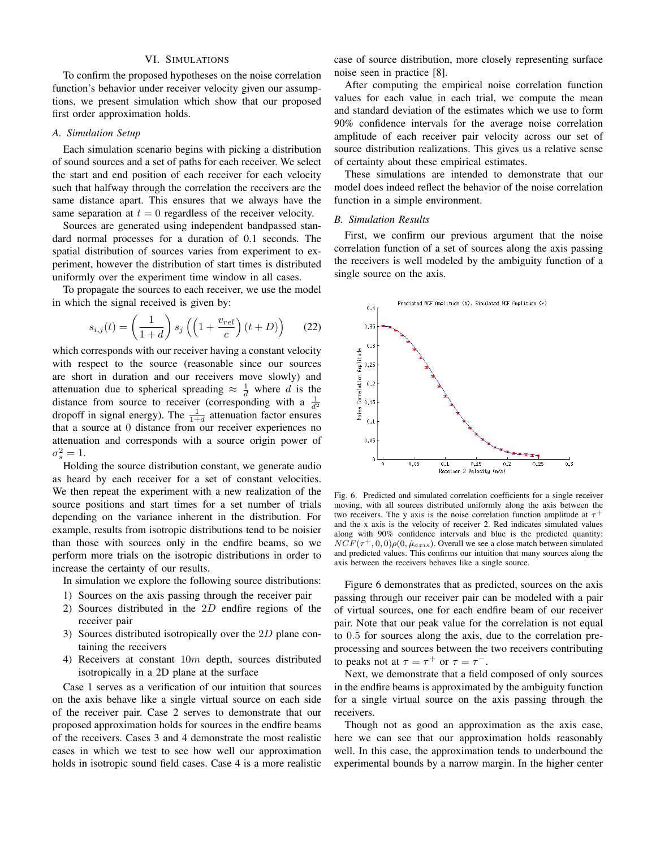# VI. SIMULATIONS

To confirm the proposed hypotheses on the noise correlation function's behavior under receiver velocity given our assumptions, we present simulation which show that our proposed first order approximation holds.

## *A. Simulation Setup*

Each simulation scenario begins with picking a distribution of sound sources and a set of paths for each receiver. We select the start and end position of each receiver for each velocity such that halfway through the correlation the receivers are the same distance apart. This ensures that we always have the same separation at  $t = 0$  regardless of the receiver velocity.

Sources are generated using independent bandpassed standard normal processes for a duration of 0.1 seconds. The spatial distribution of sources varies from experiment to experiment, however the distribution of start times is distributed uniformly over the experiment time window in all cases.

To propagate the sources to each receiver, we use the model in which the signal received is given by:

$$
s_{i,j}(t) = \left(\frac{1}{1+d}\right)s_j\left(\left(1+\frac{v_{rel}}{c}\right)(t+D)\right)
$$
 (22)

which corresponds with our receiver having a constant velocity with respect to the source (reasonable since our sources are short in duration and our receivers move slowly) and attenuation due to spherical spreading  $\approx \frac{1}{d}$  where d is the distance from source to receiver (corresponding with a  $\frac{1}{d^2}$  dropoff in signal energy). The  $\frac{1}{1+d}$  attenuation factor ensures that a source at 0 distance from our receiver experiences no attenuation and corresponds with a source origin power of  $\sigma_s^2=1.$ 

Holding the source distribution constant, we generate audio as heard by each receiver for a set of constant velocities. We then repeat the experiment with a new realization of the source positions and start times for a set number of trials depending on the variance inherent in the distribution. For example, results from isotropic distributions tend to be noisier than those with sources only in the endfire beams, so we perform more trials on the isotropic distributions in order to increase the certainty of our results.

- In simulation we explore the following source distributions:
- 1) Sources on the axis passing through the receiver pair
- 2) Sources distributed in the 2D endfire regions of the receiver pair
- 3) Sources distributed isotropically over the 2D plane containing the receivers
- 4) Receivers at constant 10m depth, sources distributed isotropically in a 2D plane at the surface

Case 1 serves as a verification of our intuition that sources on the axis behave like a single virtual source on each side of the receiver pair. Case 2 serves to demonstrate that our proposed approximation holds for sources in the endfire beams of the receivers. Cases 3 and 4 demonstrate the most realistic cases in which we test to see how well our approximation holds in isotropic sound field cases. Case 4 is a more realistic

case of source distribution, more closely representing surface noise seen in practice [8].

After computing the empirical noise correlation function values for each value in each trial, we compute the mean and standard deviation of the estimates which we use to form 90% confidence intervals for the average noise correlation amplitude of each receiver pair velocity across our set of source distribution realizations. This gives us a relative sense of certainty about these empirical estimates.

These simulations are intended to demonstrate that our model does indeed reflect the behavior of the noise correlation function in a simple environment.

#### *B. Simulation Results*

First, we confirm our previous argument that the noise correlation function of a set of sources along the axis passing the receivers is well modeled by the ambiguity function of a single source on the axis.



Fig. 6. Predicted and simulated correlation coefficients for a single receiver moving, with all sources distributed uniformly along the axis between the two receivers. The y axis is the noise correlation function amplitude at  $\tau^+$ and the x axis is the velocity of receiver 2. Red indicates simulated values along with 90% confidence intervals and blue is the predicted quantity:  $NCF(\tau^+, 0, 0)\rho(0, \mu_{axis})$ . Overall we see a close match between simulated and predicted values. This confirms our intuition that many sources along the axis between the receivers behaves like a single source.

Figure 6 demonstrates that as predicted, sources on the axis passing through our receiver pair can be modeled with a pair of virtual sources, one for each endfire beam of our receiver pair. Note that our peak value for the correlation is not equal to 0.5 for sources along the axis, due to the correlation preprocessing and sources between the two receivers contributing to peaks not at  $\tau = \tau^+$  or  $\tau = \tau^-$ .

Next, we demonstrate that a field composed of only sources in the endfire beams is approximated by the ambiguity function for a single virtual source on the axis passing through the receivers.

Though not as good an approximation as the axis case, here we can see that our approximation holds reasonably well. In this case, the approximation tends to underbound the experimental bounds by a narrow margin. In the higher center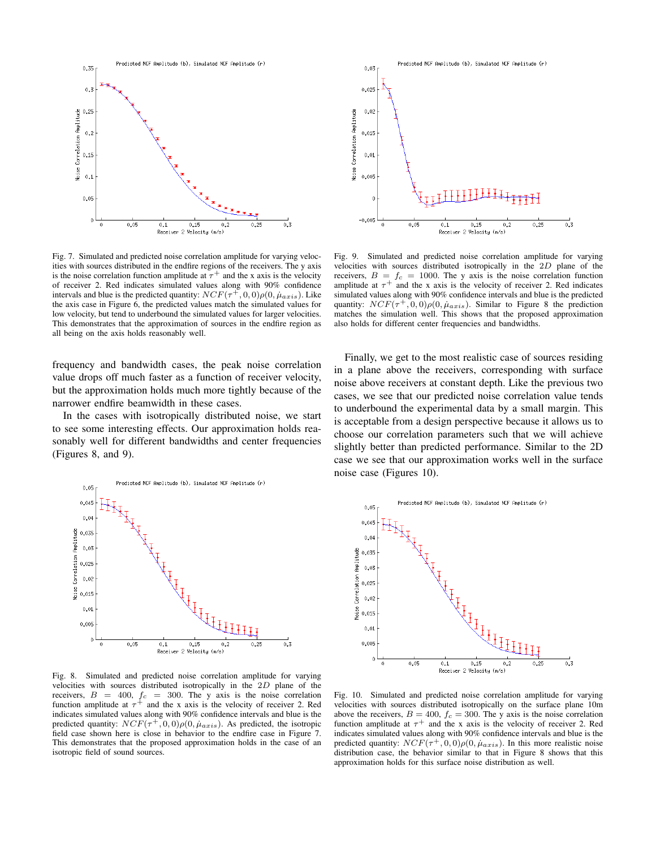

Fig. 7. Simulated and predicted noise correlation amplitude for varying velocities with sources distributed in the endfire regions of the receivers. The y axis is the noise correlation function amplitude at  $\tau^+$  and the x axis is the velocity of receiver 2. Red indicates simulated values along with 90% confidence intervals and blue is the predicted quantity:  $NCF(\tau^+, 0, 0)\rho(0, \mu_{axis})$ . Like the axis case in Figure 6, the predicted values match the simulated values for low velocity, but tend to underbound the simulated values for larger velocities. This demonstrates that the approximation of sources in the endfire region as all being on the axis holds reasonably well.

frequency and bandwidth cases, the peak noise correlation value drops off much faster as a function of receiver velocity, but the approximation holds much more tightly because of the narrower endfire beamwidth in these cases.

In the cases with isotropically distributed noise, we start to see some interesting effects. Our approximation holds reasonably well for different bandwidths and center frequencies (Figures 8, and 9).



Fig. 8. Simulated and predicted noise correlation amplitude for varying velocities with sources distributed isotropically in the 2D plane of the receivers,  $B = 400$ ,  $f_c = 300$ . The y axis is the noise correlation function amplitude at  $\tau^+$  and the x axis is the velocity of receiver 2. Red indicates simulated values along with 90% confidence intervals and blue is the predicted quantity:  $NCF(\tau^+, 0, 0)\rho(0, \mu_{axis})$ . As predicted, the isotropic field case shown here is close in behavior to the endfire case in Figure 7. This demonstrates that the proposed approximation holds in the case of an isotropic field of sound sources.



Fig. 9. Simulated and predicted noise correlation amplitude for varying velocities with sources distributed isotropically in the 2D plane of the receivers,  $B = f_c = 1000$ . The y axis is the noise correlation function amplitude at  $\tau^+$  and the x axis is the velocity of receiver 2. Red indicates simulated values along with 90% confidence intervals and blue is the predicted quantity:  $NCF(\tau^+, 0, 0) \rho(0, \mu_{axis})$ . Similar to Figure 8 the prediction matches the simulation well. This shows that the proposed approximation also holds for different center frequencies and bandwidths.

Finally, we get to the most realistic case of sources residing in a plane above the receivers, corresponding with surface noise above receivers at constant depth. Like the previous two cases, we see that our predicted noise correlation value tends to underbound the experimental data by a small margin. This is acceptable from a design perspective because it allows us to choose our correlation parameters such that we will achieve slightly better than predicted performance. Similar to the 2D case we see that our approximation works well in the surface noise case (Figures 10).



Fig. 10. Simulated and predicted noise correlation amplitude for varying velocities with sources distributed isotropically on the surface plane 10m above the receivers,  $B = 400$ ,  $f_c = 300$ . The y axis is the noise correlation function amplitude at  $\tau^+$  and the x axis is the velocity of receiver 2. Red indicates simulated values along with 90% confidence intervals and blue is the predicted quantity:  $NCF(\tau^+, 0, 0) \rho(0, \mu_{axis})$ . In this more realistic noise distribution case, the behavior similar to that in Figure 8 shows that this approximation holds for this surface noise distribution as well.